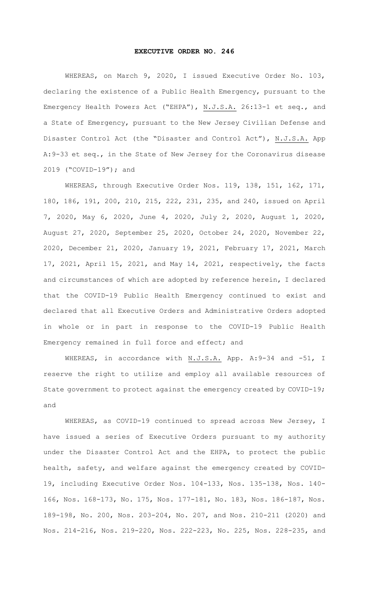## **EXECUTIVE ORDER NO. 246**

WHEREAS, on March 9, 2020, I issued Executive Order No. 103, declaring the existence of a Public Health Emergency, pursuant to the Emergency Health Powers Act ("EHPA"), N.J.S.A. 26:13-1 et seq., and a State of Emergency, pursuant to the New Jersey Civilian Defense and Disaster Control Act (the "Disaster and Control Act"), N.J.S.A. App A:9-33 et seq., in the State of New Jersey for the Coronavirus disease 2019 ("COVID-19"); and

WHEREAS, through Executive Order Nos. 119, 138, 151, 162, 171, 180, 186, 191, 200, 210, 215, 222, 231, 235, and 240, issued on April 7, 2020, May 6, 2020, June 4, 2020, July 2, 2020, August 1, 2020, August 27, 2020, September 25, 2020, October 24, 2020, November 22, 2020, December 21, 2020, January 19, 2021, February 17, 2021, March 17, 2021, April 15, 2021, and May 14, 2021, respectively, the facts and circumstances of which are adopted by reference herein, I declared that the COVID-19 Public Health Emergency continued to exist and declared that all Executive Orders and Administrative Orders adopted in whole or in part in response to the COVID-19 Public Health Emergency remained in full force and effect; and

WHEREAS, in accordance with N.J.S.A. App. A:9-34 and -51, I reserve the right to utilize and employ all available resources of State government to protect against the emergency created by COVID-19; and

WHEREAS, as COVID-19 continued to spread across New Jersey, I have issued a series of Executive Orders pursuant to my authority under the Disaster Control Act and the EHPA, to protect the public health, safety, and welfare against the emergency created by COVID-19, including Executive Order Nos. 104-133, Nos. 135-138, Nos. 140- 166, Nos. 168-173, No. 175, Nos. 177-181, No. 183, Nos. 186-187, Nos. 189-198, No. 200, Nos. 203-204, No. 207, and Nos. 210-211 (2020) and Nos. 214-216, Nos. 219-220, Nos. 222-223, No. 225, Nos. 228-235, and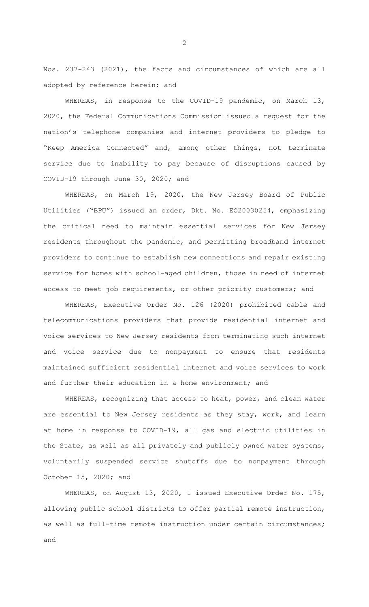Nos. 237-243 (2021), the facts and circumstances of which are all adopted by reference herein; and

WHEREAS, in response to the COVID-19 pandemic, on March 13, 2020, the Federal Communications Commission issued a request for the nation's telephone companies and internet providers to pledge to "Keep America Connected" and, among other things, not terminate service due to inability to pay because of disruptions caused by COVID-19 through June 30, 2020; and

WHEREAS, on March 19, 2020, the New Jersey Board of Public Utilities ("BPU") issued an order, Dkt. No. EO20030254, emphasizing the critical need to maintain essential services for New Jersey residents throughout the pandemic, and permitting broadband internet providers to continue to establish new connections and repair existing service for homes with school-aged children, those in need of internet access to meet job requirements, or other priority customers; and

WHEREAS, Executive Order No. 126 (2020) prohibited cable and telecommunications providers that provide residential internet and voice services to New Jersey residents from terminating such internet and voice service due to nonpayment to ensure that residents maintained sufficient residential internet and voice services to work and further their education in a home environment; and

WHEREAS, recognizing that access to heat, power, and clean water are essential to New Jersey residents as they stay, work, and learn at home in response to COVID-19, all gas and electric utilities in the State, as well as all privately and publicly owned water systems, voluntarily suspended service shutoffs due to nonpayment through October 15, 2020; and

WHEREAS, on August 13, 2020, I issued Executive Order No. 175, allowing public school districts to offer partial remote instruction, as well as full-time remote instruction under certain circumstances; and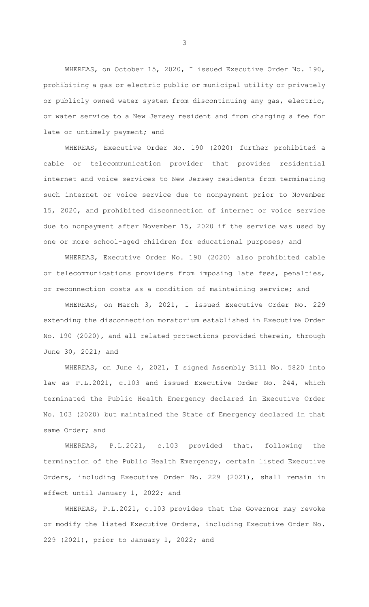WHEREAS, on October 15, 2020, I issued Executive Order No. 190, prohibiting a gas or electric public or municipal utility or privately or publicly owned water system from discontinuing any gas, electric, or water service to a New Jersey resident and from charging a fee for late or untimely payment; and

WHEREAS, Executive Order No. 190 (2020) further prohibited a cable or telecommunication provider that provides residential internet and voice services to New Jersey residents from terminating such internet or voice service due to nonpayment prior to November 15, 2020, and prohibited disconnection of internet or voice service due to nonpayment after November 15, 2020 if the service was used by one or more school-aged children for educational purposes; and

WHEREAS, Executive Order No. 190 (2020) also prohibited cable or telecommunications providers from imposing late fees, penalties, or reconnection costs as a condition of maintaining service; and

WHEREAS, on March 3, 2021, I issued Executive Order No. 229 extending the disconnection moratorium established in Executive Order No. 190 (2020), and all related protections provided therein, through June 30, 2021; and

WHEREAS, on June 4, 2021, I signed Assembly Bill No. 5820 into law as P.L.2021, c.103 and issued Executive Order No. 244, which terminated the Public Health Emergency declared in Executive Order No. 103 (2020) but maintained the State of Emergency declared in that same Order; and

WHEREAS, P.L.2021, c.103 provided that, following the termination of the Public Health Emergency, certain listed Executive Orders, including Executive Order No. 229 (2021), shall remain in effect until January 1, 2022; and

WHEREAS, P.L.2021, c.103 provides that the Governor may revoke or modify the listed Executive Orders, including Executive Order No. 229 (2021), prior to January 1, 2022; and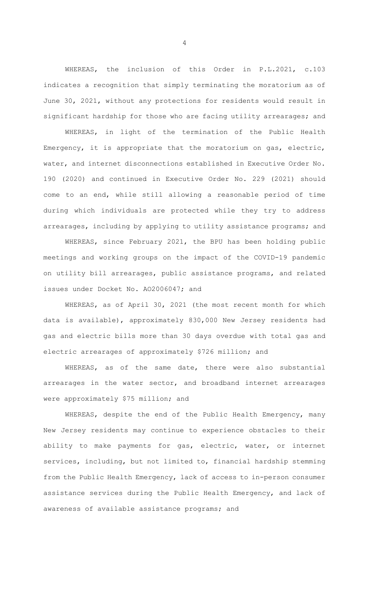WHEREAS, the inclusion of this Order in P.L.2021, c.103 indicates a recognition that simply terminating the moratorium as of June 30, 2021, without any protections for residents would result in significant hardship for those who are facing utility arrearages; and

WHEREAS, in light of the termination of the Public Health Emergency, it is appropriate that the moratorium on gas, electric, water, and internet disconnections established in Executive Order No. 190 (2020) and continued in Executive Order No. 229 (2021) should come to an end, while still allowing a reasonable period of time during which individuals are protected while they try to address arrearages, including by applying to utility assistance programs; and

WHEREAS, since February 2021, the BPU has been holding public meetings and working groups on the impact of the COVID-19 pandemic on utility bill arrearages, public assistance programs, and related issues under Docket No. AO2006047; and

WHEREAS, as of April 30, 2021 (the most recent month for which data is available), approximately 830,000 New Jersey residents had gas and electric bills more than 30 days overdue with total gas and electric arrearages of approximately \$726 million; and

WHEREAS, as of the same date, there were also substantial arrearages in the water sector, and broadband internet arrearages were approximately \$75 million; and

WHEREAS, despite the end of the Public Health Emergency, many New Jersey residents may continue to experience obstacles to their ability to make payments for gas, electric, water, or internet services, including, but not limited to, financial hardship stemming from the Public Health Emergency, lack of access to in-person consumer assistance services during the Public Health Emergency, and lack of awareness of available assistance programs; and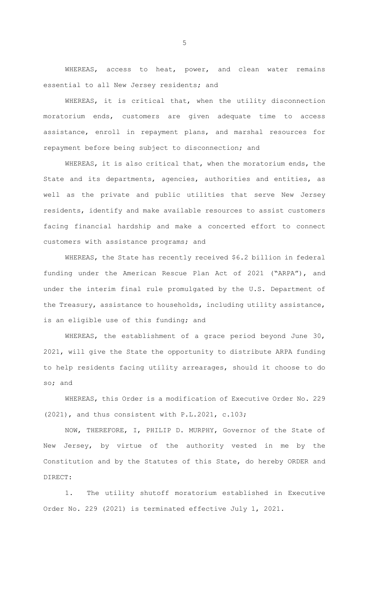WHEREAS, access to heat, power, and clean water remains essential to all New Jersey residents; and

WHEREAS, it is critical that, when the utility disconnection moratorium ends, customers are given adequate time to access assistance, enroll in repayment plans, and marshal resources for repayment before being subject to disconnection; and

WHEREAS, it is also critical that, when the moratorium ends, the State and its departments, agencies, authorities and entities, as well as the private and public utilities that serve New Jersey residents, identify and make available resources to assist customers facing financial hardship and make a concerted effort to connect customers with assistance programs; and

WHEREAS, the State has recently received \$6.2 billion in federal funding under the American Rescue Plan Act of 2021 ("ARPA"), and under the interim final rule promulgated by the U.S. Department of the Treasury, assistance to households, including utility assistance, is an eligible use of this funding; and

WHEREAS, the establishment of a grace period beyond June 30, 2021, will give the State the opportunity to distribute ARPA funding to help residents facing utility arrearages, should it choose to do so; and

WHEREAS, this Order is a modification of Executive Order No. 229 (2021), and thus consistent with P.L.2021, c.103;

NOW, THEREFORE, I, PHILIP D. MURPHY, Governor of the State of New Jersey, by virtue of the authority vested in me by the Constitution and by the Statutes of this State, do hereby ORDER and DIRECT:

1. The utility shutoff moratorium established in Executive Order No. 229 (2021) is terminated effective July 1, 2021.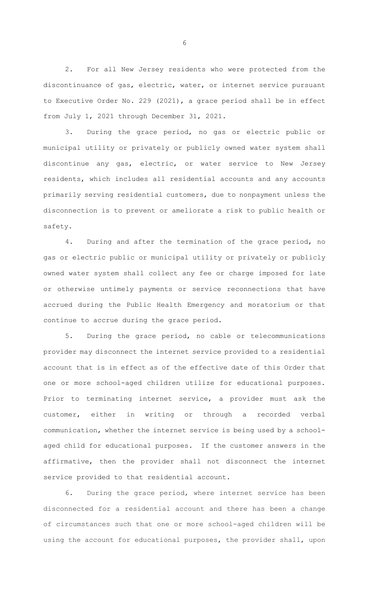2. For all New Jersey residents who were protected from the discontinuance of gas, electric, water, or internet service pursuant to Executive Order No. 229 (2021), a grace period shall be in effect from July 1, 2021 through December 31, 2021.

3. During the grace period, no gas or electric public or municipal utility or privately or publicly owned water system shall discontinue any gas, electric, or water service to New Jersey residents, which includes all residential accounts and any accounts primarily serving residential customers, due to nonpayment unless the disconnection is to prevent or ameliorate a risk to public health or safety.

4. During and after the termination of the grace period, no gas or electric public or municipal utility or privately or publicly owned water system shall collect any fee or charge imposed for late or otherwise untimely payments or service reconnections that have accrued during the Public Health Emergency and moratorium or that continue to accrue during the grace period.

5. During the grace period, no cable or telecommunications provider may disconnect the internet service provided to a residential account that is in effect as of the effective date of this Order that one or more school-aged children utilize for educational purposes. Prior to terminating internet service, a provider must ask the customer, either in writing or through a recorded verbal communication, whether the internet service is being used by a schoolaged child for educational purposes. If the customer answers in the affirmative, then the provider shall not disconnect the internet service provided to that residential account.

6. During the grace period, where internet service has been disconnected for a residential account and there has been a change of circumstances such that one or more school-aged children will be using the account for educational purposes, the provider shall, upon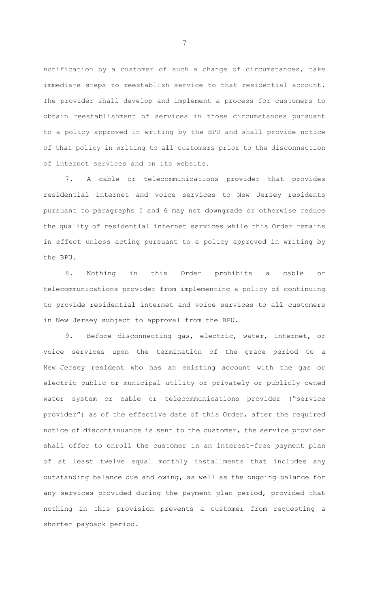notification by a customer of such a change of circumstances, take immediate steps to reestablish service to that residential account. The provider shall develop and implement a process for customers to obtain reestablishment of services in those circumstances pursuant to a policy approved in writing by the BPU and shall provide notice of that policy in writing to all customers prior to the disconnection of internet services and on its website.

7. A cable or telecommunications provider that provides residential internet and voice services to New Jersey residents pursuant to paragraphs 5 and 6 may not downgrade or otherwise reduce the quality of residential internet services while this Order remains in effect unless acting pursuant to a policy approved in writing by the BPU.

8. Nothing in this Order prohibits a cable or telecommunications provider from implementing a policy of continuing to provide residential internet and voice services to all customers in New Jersey subject to approval from the BPU.

9. Before disconnecting gas, electric, water, internet, or voice services upon the termination of the grace period to a New Jersey resident who has an existing account with the gas or electric public or municipal utility or privately or publicly owned water system or cable or telecommunications provider ("service provider") as of the effective date of this Order, after the required notice of discontinuance is sent to the customer, the service provider shall offer to enroll the customer in an interest-free payment plan of at least twelve equal monthly installments that includes any outstanding balance due and owing, as well as the ongoing balance for any services provided during the payment plan period, provided that nothing in this provision prevents a customer from requesting a shorter payback period.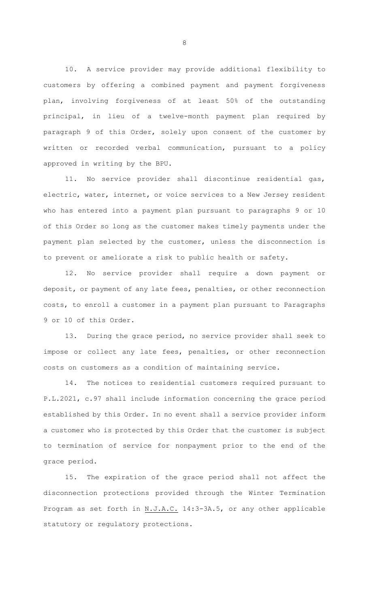10. A service provider may provide additional flexibility to customers by offering a combined payment and payment forgiveness plan, involving forgiveness of at least 50% of the outstanding principal, in lieu of a twelve-month payment plan required by paragraph 9 of this Order, solely upon consent of the customer by written or recorded verbal communication, pursuant to a policy approved in writing by the BPU.

11. No service provider shall discontinue residential gas, electric, water, internet, or voice services to a New Jersey resident who has entered into a payment plan pursuant to paragraphs 9 or 10 of this Order so long as the customer makes timely payments under the payment plan selected by the customer, unless the disconnection is to prevent or ameliorate a risk to public health or safety.

12. No service provider shall require a down payment or deposit, or payment of any late fees, penalties, or other reconnection costs, to enroll a customer in a payment plan pursuant to Paragraphs 9 or 10 of this Order.

13. During the grace period, no service provider shall seek to impose or collect any late fees, penalties, or other reconnection costs on customers as a condition of maintaining service.

14. The notices to residential customers required pursuant to P.L.2021, c.97 shall include information concerning the grace period established by this Order. In no event shall a service provider inform a customer who is protected by this Order that the customer is subject to termination of service for nonpayment prior to the end of the grace period.

15. The expiration of the grace period shall not affect the disconnection protections provided through the Winter Termination Program as set forth in N.J.A.C. 14:3-3A.5, or any other applicable statutory or regulatory protections.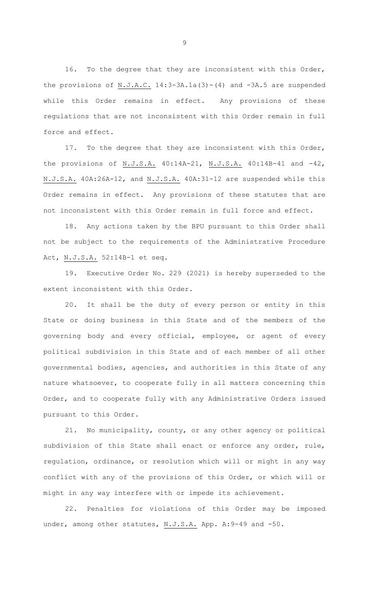16. To the degree that they are inconsistent with this Order, the provisions of  $N.J.A.C.$  14:3-3A.1a(3)-(4) and -3A.5 are suspended while this Order remains in effect. Any provisions of these regulations that are not inconsistent with this Order remain in full force and effect.

17. To the degree that they are inconsistent with this Order, the provisions of N.J.S.A. 40:14A-21, N.J.S.A. 40:14B-41 and -42, N.J.S.A. 40A:26A-12, and N.J.S.A. 40A:31-12 are suspended while this Order remains in effect. Any provisions of these statutes that are not inconsistent with this Order remain in full force and effect.

18. Any actions taken by the BPU pursuant to this Order shall not be subject to the requirements of the Administrative Procedure Act, N.J.S.A. 52:14B-1 et seq.

19. Executive Order No. 229 (2021) is hereby superseded to the extent inconsistent with this Order.

20. It shall be the duty of every person or entity in this State or doing business in this State and of the members of the governing body and every official, employee, or agent of every political subdivision in this State and of each member of all other governmental bodies, agencies, and authorities in this State of any nature whatsoever, to cooperate fully in all matters concerning this Order, and to cooperate fully with any Administrative Orders issued pursuant to this Order.

21. No municipality, county, or any other agency or political subdivision of this State shall enact or enforce any order, rule, regulation, ordinance, or resolution which will or might in any way conflict with any of the provisions of this Order, or which will or might in any way interfere with or impede its achievement.

22. Penalties for violations of this Order may be imposed under, among other statutes, N.J.S.A. App. A: 9-49 and -50.